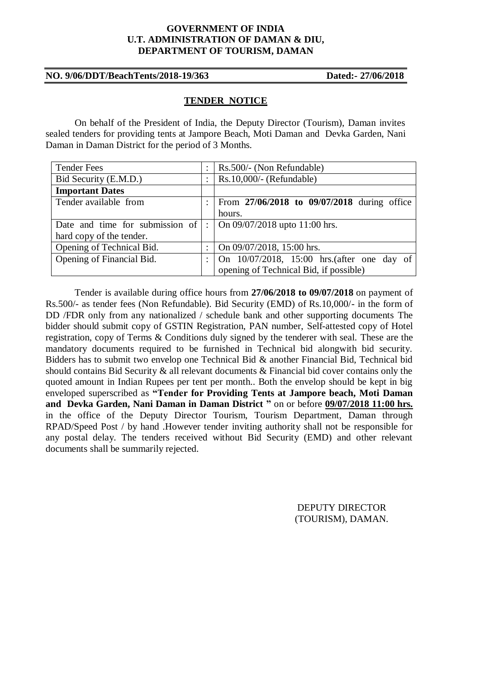#### **GOVERNMENT OF INDIA U.T. ADMINISTRATION OF DAMAN & DIU, DEPARTMENT OF TOURISM, DAMAN**

## **NO. 9/06/DDT/BeachTents/2018-19/363 Dated:- 27/06/2018**

#### **TENDER NOTICE**

On behalf of the President of India, the Deputy Director (Tourism), Daman invites sealed tenders for providing tents at Jampore Beach, Moti Daman and Devka Garden, Nani Daman in Daman District for the period of 3 Months.

| <b>Tender Fees</b>              | $\ddot{\phantom{a}}$ | Rs.500/- (Non Refundable)                   |  |
|---------------------------------|----------------------|---------------------------------------------|--|
| Bid Security (E.M.D.)           |                      | $Rs.10,000/-(Refundable)$                   |  |
| <b>Important Dates</b>          |                      |                                             |  |
| Tender available from           |                      | From 27/06/2018 to 09/07/2018 during office |  |
|                                 |                      | hours.                                      |  |
| Date and time for submission of | ÷.                   | On $09/07/2018$ upto 11:00 hrs.             |  |
| hard copy of the tender.        |                      |                                             |  |
| Opening of Technical Bid.       |                      | On 09/07/2018, 15:00 hrs.                   |  |
| Opening of Financial Bid.       |                      | On 10/07/2018, 15:00 hrs. (after one day of |  |
|                                 |                      | opening of Technical Bid, if possible)      |  |

Tender is available during office hours from **27/06/2018 to 09/07/2018** on payment of Rs.500/- as tender fees (Non Refundable). Bid Security (EMD) of Rs.10,000/- in the form of DD /FDR only from any nationalized / schedule bank and other supporting documents The bidder should submit copy of GSTIN Registration, PAN number, Self-attested copy of Hotel registration, copy of Terms & Conditions duly signed by the tenderer with seal. These are the mandatory documents required to be furnished in Technical bid alongwith bid security. Bidders has to submit two envelop one Technical Bid & another Financial Bid, Technical bid should contains Bid Security & all relevant documents & Financial bid cover contains only the quoted amount in Indian Rupees per tent per month.. Both the envelop should be kept in big enveloped superscribed as **"Tender for Providing Tents at Jampore beach, Moti Daman and Devka Garden, Nani Daman in Daman District "** on or before **09/07/2018 11:00 hrs.**  in the office of the Deputy Director Tourism, Tourism Department, Daman through RPAD/Speed Post / by hand .However tender inviting authority shall not be responsible for any postal delay. The tenders received without Bid Security (EMD) and other relevant documents shall be summarily rejected.

> DEPUTY DIRECTOR (TOURISM), DAMAN.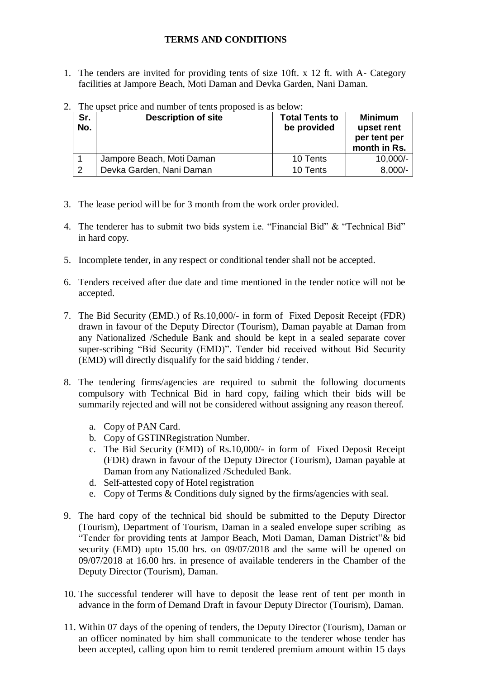# **TERMS AND CONDITIONS**

1. The tenders are invited for providing tents of size 10ft. x 12 ft. with A- Category facilities at Jampore Beach, Moti Daman and Devka Garden, Nani Daman.

| Sr.<br>No. | <b>Description of site</b> | <b>Total Tents to</b><br>be provided | <b>Minimum</b><br>upset rent<br>per tent per<br>month in Rs. |
|------------|----------------------------|--------------------------------------|--------------------------------------------------------------|
|            | Jampore Beach, Moti Daman  | 10 Tents                             | $10,000/-$                                                   |
| 2          | Devka Garden, Nani Daman   | 10 Tents                             | $8,000/-$                                                    |

2. The upset price and number of tents proposed is as below:

- 3. The lease period will be for 3 month from the work order provided.
- 4. The tenderer has to submit two bids system i.e. "Financial Bid" & "Technical Bid" in hard copy.
- 5. Incomplete tender, in any respect or conditional tender shall not be accepted.
- 6. Tenders received after due date and time mentioned in the tender notice will not be accepted.
- 7. The Bid Security (EMD.) of Rs.10,000/- in form of Fixed Deposit Receipt (FDR) drawn in favour of the Deputy Director (Tourism), Daman payable at Daman from any Nationalized /Schedule Bank and should be kept in a sealed separate cover super-scribing "Bid Security (EMD)". Tender bid received without Bid Security (EMD) will directly disqualify for the said bidding / tender.
- 8. The tendering firms/agencies are required to submit the following documents compulsory with Technical Bid in hard copy, failing which their bids will be summarily rejected and will not be considered without assigning any reason thereof.
	- a. Copy of PAN Card.
	- b. Copy of GSTINRegistration Number.
	- c. The Bid Security (EMD) of Rs.10,000/- in form of Fixed Deposit Receipt (FDR) drawn in favour of the Deputy Director (Tourism), Daman payable at Daman from any Nationalized /Scheduled Bank.
	- d. Self-attested copy of Hotel registration
	- e. Copy of Terms & Conditions duly signed by the firms/agencies with seal.
- 9. The hard copy of the technical bid should be submitted to the Deputy Director (Tourism), Department of Tourism, Daman in a sealed envelope super scribing as "Tender for providing tents at Jampor Beach, Moti Daman, Daman District"& bid security (EMD) upto 15.00 hrs. on 09/07/2018 and the same will be opened on 09/07/2018 at 16.00 hrs. in presence of available tenderers in the Chamber of the Deputy Director (Tourism), Daman.
- 10. The successful tenderer will have to deposit the lease rent of tent per month in advance in the form of Demand Draft in favour Deputy Director (Tourism), Daman.
- 11. Within 07 days of the opening of tenders, the Deputy Director (Tourism), Daman or an officer nominated by him shall communicate to the tenderer whose tender has been accepted, calling upon him to remit tendered premium amount within 15 days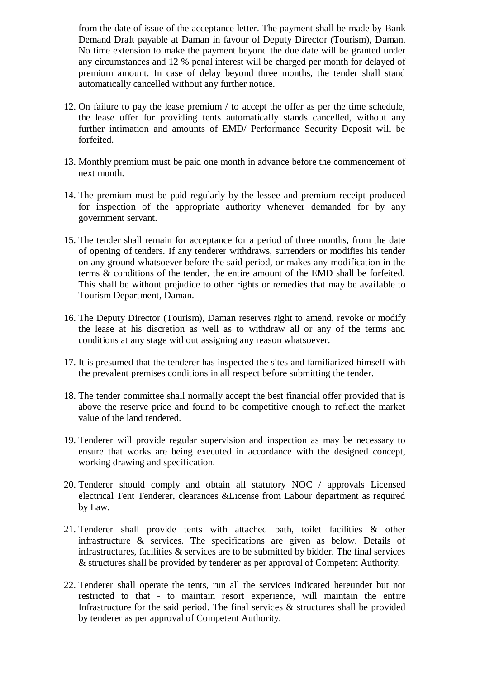from the date of issue of the acceptance letter. The payment shall be made by Bank Demand Draft payable at Daman in favour of Deputy Director (Tourism), Daman. No time extension to make the payment beyond the due date will be granted under any circumstances and 12 % penal interest will be charged per month for delayed of premium amount. In case of delay beyond three months, the tender shall stand automatically cancelled without any further notice.

- 12. On failure to pay the lease premium / to accept the offer as per the time schedule, the lease offer for providing tents automatically stands cancelled, without any further intimation and amounts of EMD/ Performance Security Deposit will be forfeited.
- 13. Monthly premium must be paid one month in advance before the commencement of next month.
- 14. The premium must be paid regularly by the lessee and premium receipt produced for inspection of the appropriate authority whenever demanded for by any government servant.
- 15. The tender shall remain for acceptance for a period of three months, from the date of opening of tenders. If any tenderer withdraws, surrenders or modifies his tender on any ground whatsoever before the said period, or makes any modification in the terms & conditions of the tender, the entire amount of the EMD shall be forfeited. This shall be without prejudice to other rights or remedies that may be available to Tourism Department, Daman.
- 16. The Deputy Director (Tourism), Daman reserves right to amend, revoke or modify the lease at his discretion as well as to withdraw all or any of the terms and conditions at any stage without assigning any reason whatsoever.
- 17. It is presumed that the tenderer has inspected the sites and familiarized himself with the prevalent premises conditions in all respect before submitting the tender.
- 18. The tender committee shall normally accept the best financial offer provided that is above the reserve price and found to be competitive enough to reflect the market value of the land tendered.
- 19. Tenderer will provide regular supervision and inspection as may be necessary to ensure that works are being executed in accordance with the designed concept, working drawing and specification.
- 20. Tenderer should comply and obtain all statutory NOC / approvals Licensed electrical Tent Tenderer, clearances &License from Labour department as required by Law.
- 21. Tenderer shall provide tents with attached bath, toilet facilities & other infrastructure & services. The specifications are given as below. Details of infrastructures, facilities  $\&$  services are to be submitted by bidder. The final services & structures shall be provided by tenderer as per approval of Competent Authority.
- 22. Tenderer shall operate the tents, run all the services indicated hereunder but not restricted to that - to maintain resort experience, will maintain the entire Infrastructure for the said period. The final services  $\&$  structures shall be provided by tenderer as per approval of Competent Authority.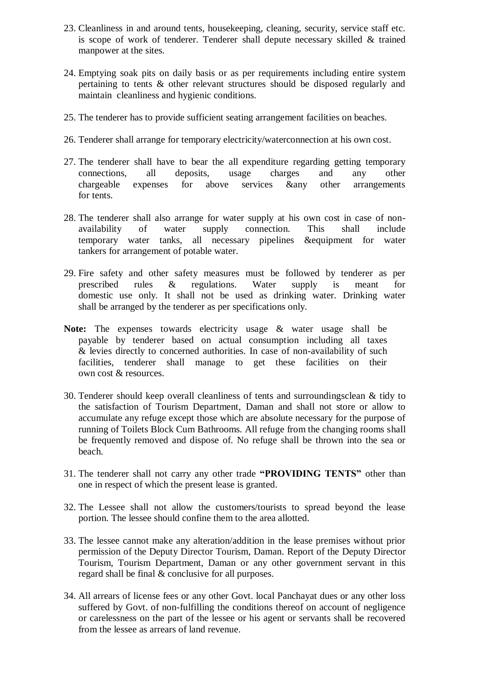- 23. Cleanliness in and around tents, housekeeping, cleaning, security, service staff etc. is scope of work of tenderer. Tenderer shall depute necessary skilled & trained manpower at the sites.
- 24. Emptying soak pits on daily basis or as per requirements including entire system pertaining to tents & other relevant structures should be disposed regularly and maintain cleanliness and hygienic conditions.
- 25. The tenderer has to provide sufficient seating arrangement facilities on beaches.
- 26. Tenderer shall arrange for temporary electricity/waterconnection at his own cost.
- 27. The tenderer shall have to bear the all expenditure regarding getting temporary connections, all deposits, usage charges and any other chargeable expenses for above services &any other arrangements for tents.
- 28. The tenderer shall also arrange for water supply at his own cost in case of nonavailability of water supply connection. This shall include temporary water tanks, all necessary pipelines &equipment for water tankers for arrangement of potable water.
- 29. Fire safety and other safety measures must be followed by tenderer as per prescribed rules & regulations. Water supply is meant for domestic use only. It shall not be used as drinking water. Drinking water shall be arranged by the tenderer as per specifications only.
- **Note:** The expenses towards electricity usage & water usage shall be payable by tenderer based on actual consumption including all taxes & levies directly to concerned authorities. In case of non-availability of such facilities, tenderer shall manage to get these facilities on their own cost & resources.
- 30. Tenderer should keep overall cleanliness of tents and surroundingsclean & tidy to the satisfaction of Tourism Department, Daman and shall not store or allow to accumulate any refuge except those which are absolute necessary for the purpose of running of Toilets Block Cum Bathrooms. All refuge from the changing rooms shall be frequently removed and dispose of. No refuge shall be thrown into the sea or beach.
- 31. The tenderer shall not carry any other trade **"PROVIDING TENTS"** other than one in respect of which the present lease is granted.
- 32. The Lessee shall not allow the customers/tourists to spread beyond the lease portion. The lessee should confine them to the area allotted.
- 33. The lessee cannot make any alteration/addition in the lease premises without prior permission of the Deputy Director Tourism, Daman. Report of the Deputy Director Tourism, Tourism Department, Daman or any other government servant in this regard shall be final & conclusive for all purposes.
- 34. All arrears of license fees or any other Govt. local Panchayat dues or any other loss suffered by Govt. of non-fulfilling the conditions thereof on account of negligence or carelessness on the part of the lessee or his agent or servants shall be recovered from the lessee as arrears of land revenue.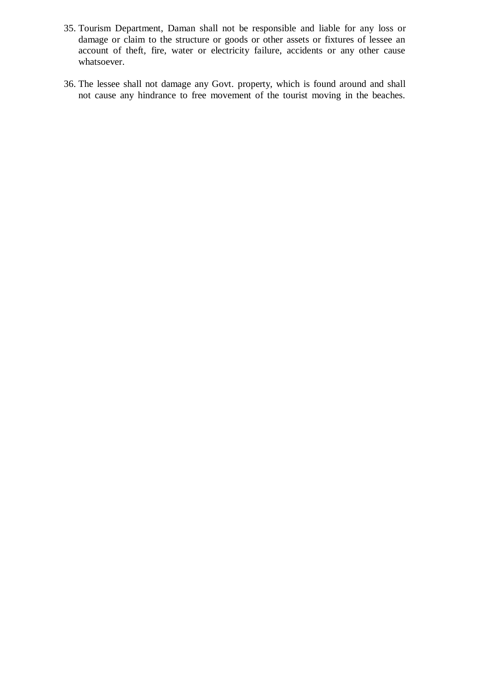- 35. Tourism Department, Daman shall not be responsible and liable for any loss or damage or claim to the structure or goods or other assets or fixtures of lessee an account of theft, fire, water or electricity failure, accidents or any other cause whatsoever.
- 36. The lessee shall not damage any Govt. property, which is found around and shall not cause any hindrance to free movement of the tourist moving in the beaches.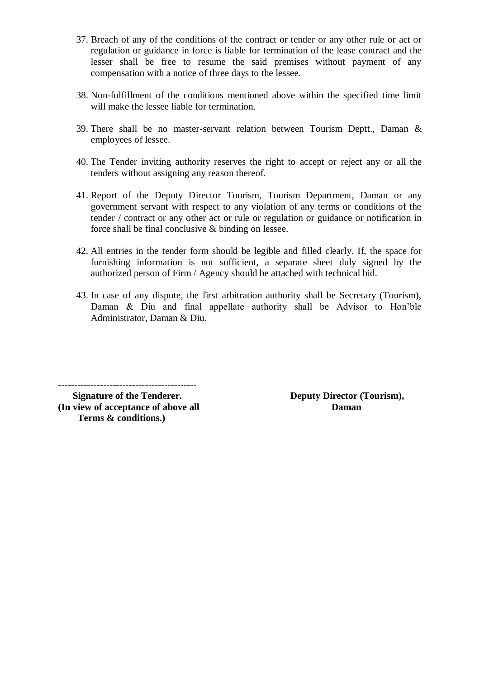- 37. Breach of any of the conditions of the contract or tender or any other rule or act or regulation or guidance in force is liable for termination of the lease contract and the lesser shall be free to resume the said premises without payment of any compensation with a notice of three days to the lessee.
- 38. Non-fulfillment of the conditions mentioned above within the specified time limit will make the lessee liable for termination.
- 39. There shall be no master-servant relation between Tourism Deptt., Daman & employees of lessee.
- 40. The Tender inviting authority reserves the right to accept or reject any or all the tenders without assigning any reason thereof.
- 41. Report of the Deputy Director Tourism, Tourism Department, Daman or any government servant with respect to any violation of any terms or conditions of the tender / contract or any other act or rule or regulation or guidance or notification in force shall be final conclusive & binding on lessee.
- 42. All entries in the tender form should be legible and filled clearly. If, the space for furnishing information is not sufficient, a separate sheet duly signed by the authorized person of Firm / Agency should be attached with technical bid.
- 43. In case of any dispute, the first arbitration authority shall be Secretary (Tourism), Daman & Diu and final appellate authority shall be Advisor to Hon'ble Administrator, Daman & Diu.

-------------------------------------------

**(In view of acceptance of above all Daman Terms & conditions.)**

 **Signature of the Tenderer. Deputy Director (Tourism),**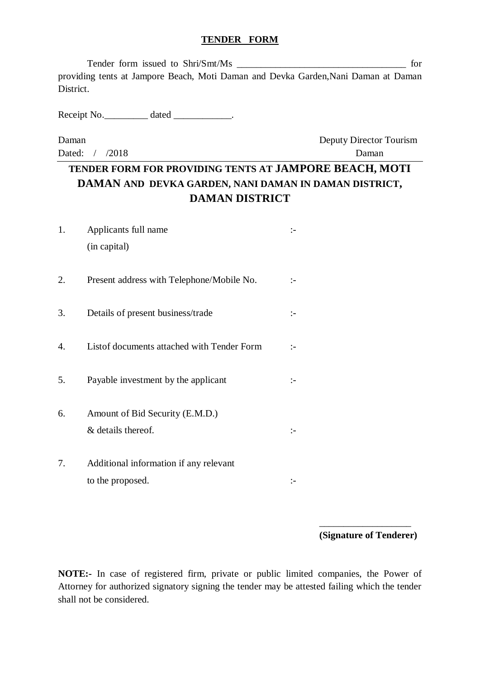#### **TENDER FORM**

Tender form issued to Shri/Smt/Ms \_\_\_\_\_\_\_\_\_\_\_\_\_\_\_\_\_\_\_\_\_\_\_\_\_\_\_\_\_\_\_\_\_\_\_ for providing tents at Jampore Beach, Moti Daman and Devka Garden,Nani Daman at Daman District.

Receipt No. \_\_\_\_\_\_\_\_\_ dated \_\_\_\_\_\_\_\_\_\_\_.

Daman Deputy Director Tourism Dated: / /2018 Daman

# **TENDER FORM FOR PROVIDING TENTS AT JAMPORE BEACH, MOTI DAMAN AND DEVKA GARDEN, NANI DAMAN IN DAMAN DISTRICT, DAMAN DISTRICT**

| 1. | Applicants full name                       | :- |
|----|--------------------------------------------|----|
|    | (in capital)                               |    |
| 2. | Present address with Telephone/Mobile No.  | :- |
| 3. | Details of present business/trade          | :- |
| 4. | Listof documents attached with Tender Form | :- |
| 5. | Payable investment by the applicant        | :- |
| 6. | Amount of Bid Security (E.M.D.)            |    |
|    | & details thereof.                         | :− |
| 7. | Additional information if any relevant     |    |
|    | to the proposed.                           |    |

\_\_\_\_\_\_\_\_\_\_\_\_\_\_\_\_\_\_\_ **(Signature of Tenderer)**

**NOTE:-** In case of registered firm, private or public limited companies, the Power of Attorney for authorized signatory signing the tender may be attested failing which the tender shall not be considered.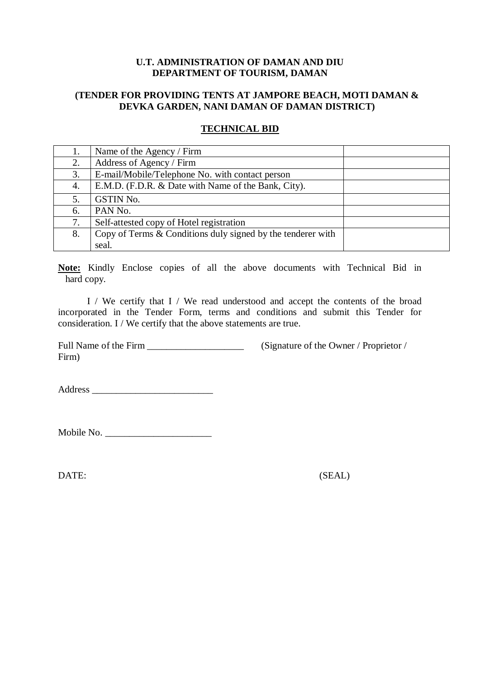#### **U.T. ADMINISTRATION OF DAMAN AND DIU DEPARTMENT OF TOURISM, DAMAN**

## **(TENDER FOR PROVIDING TENTS AT JAMPORE BEACH, MOTI DAMAN & DEVKA GARDEN, NANI DAMAN OF DAMAN DISTRICT)**

## **TECHNICAL BID**

| 1. | Name of the Agency / Firm                                     |  |
|----|---------------------------------------------------------------|--|
| 2. | Address of Agency / Firm                                      |  |
| 3. | E-mail/Mobile/Telephone No. with contact person               |  |
| 4. | E.M.D. (F.D.R. & Date with Name of the Bank, City).           |  |
|    | <b>GSTIN No.</b>                                              |  |
| 6. | PAN No.                                                       |  |
| 7. | Self-attested copy of Hotel registration                      |  |
| 8. | Copy of Terms $&$ Conditions duly signed by the tenderer with |  |
|    | seal.                                                         |  |

**Note:** Kindly Enclose copies of all the above documents with Technical Bid in hard copy.

I / We certify that I / We read understood and accept the contents of the broad incorporated in the Tender Form, terms and conditions and submit this Tender for consideration. I / We certify that the above statements are true.

Full Name of the Firm \_\_\_\_\_\_\_\_\_\_\_\_\_\_\_\_\_\_\_\_ (Signature of the Owner / Proprietor / Firm)

Address \_\_\_\_\_\_\_\_\_\_\_\_\_\_\_\_\_\_\_\_\_\_\_\_\_

Mobile No. \_\_\_\_\_\_\_\_\_\_\_\_\_\_\_\_\_\_\_\_\_\_

DATE: (SEAL)